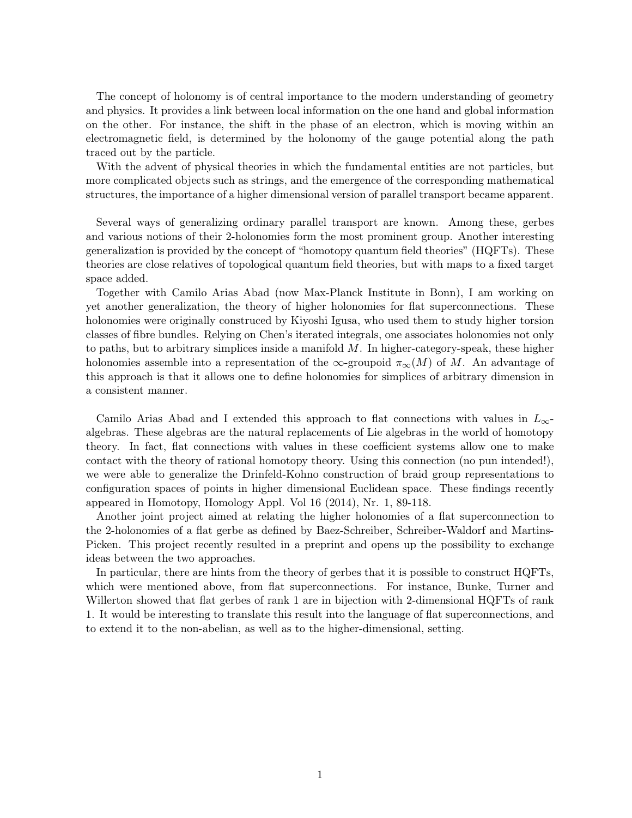The concept of holonomy is of central importance to the modern understanding of geometry and physics. It provides a link between local information on the one hand and global information on the other. For instance, the shift in the phase of an electron, which is moving within an electromagnetic field, is determined by the holonomy of the gauge potential along the path traced out by the particle.

With the advent of physical theories in which the fundamental entities are not particles, but more complicated objects such as strings, and the emergence of the corresponding mathematical structures, the importance of a higher dimensional version of parallel transport became apparent.

Several ways of generalizing ordinary parallel transport are known. Among these, gerbes and various notions of their 2-holonomies form the most prominent group. Another interesting generalization is provided by the concept of "homotopy quantum field theories" (HQFTs). These theories are close relatives of topological quantum field theories, but with maps to a fixed target space added.

Together with Camilo Arias Abad (now Max-Planck Institute in Bonn), I am working on yet another generalization, the theory of higher holonomies for flat superconnections. These holonomies were originally construced by Kiyoshi Igusa, who used them to study higher torsion classes of fibre bundles. Relying on Chen's iterated integrals, one associates holonomies not only to paths, but to arbitrary simplices inside a manifold  $M$ . In higher-category-speak, these higher holonomies assemble into a representation of the  $\infty$ -groupoid  $\pi_{\infty}(M)$  of M. An advantage of this approach is that it allows one to define holonomies for simplices of arbitrary dimension in a consistent manner.

Camilo Arias Abad and I extended this approach to flat connections with values in  $L_{\infty}$ algebras. These algebras are the natural replacements of Lie algebras in the world of homotopy theory. In fact, flat connections with values in these coefficient systems allow one to make contact with the theory of rational homotopy theory. Using this connection (no pun intended!), we were able to generalize the Drinfeld-Kohno construction of braid group representations to configuration spaces of points in higher dimensional Euclidean space. These findings recently appeared in Homotopy, Homology Appl. Vol 16 (2014), Nr. 1, 89-118.

Another joint project aimed at relating the higher holonomies of a flat superconnection to the 2-holonomies of a flat gerbe as defined by Baez-Schreiber, Schreiber-Waldorf and Martins-Picken. This project recently resulted in a preprint and opens up the possibility to exchange ideas between the two approaches.

In particular, there are hints from the theory of gerbes that it is possible to construct HQFTs, which were mentioned above, from flat superconnections. For instance, Bunke, Turner and Willerton showed that flat gerbes of rank 1 are in bijection with 2-dimensional HQFTs of rank 1. It would be interesting to translate this result into the language of flat superconnections, and to extend it to the non-abelian, as well as to the higher-dimensional, setting.